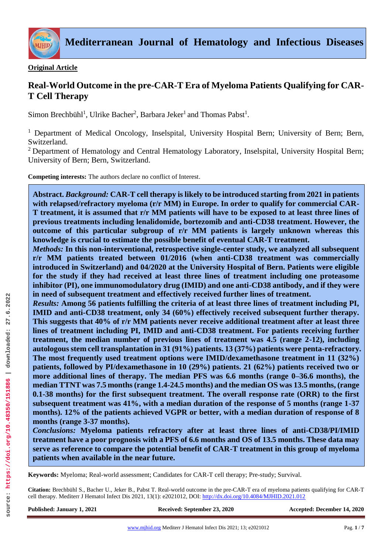

## **Original Article**

# **Real-World Outcome in the pre-CAR-T Era of Myeloma Patients Qualifying for CAR-T Cell Therapy**

Simon Brechbühl<sup>1</sup>, Ulrike Bacher<sup>2</sup>, Barbara Jeker<sup>1</sup> and Thomas Pabst<sup>1</sup>.

<sup>1</sup> Department of Medical Oncology, Inselspital, University Hospital Bern; University of Bern; Bern, Switzerland.

<sup>2</sup> Department of Hematology and Central Hematology Laboratory, Inselspital, University Hospital Bern; University of Bern; Bern, Switzerland.

**Competing interests:** The authors declare no conflict of Interest.

**Abstract.** *Background:* **CAR-T cell therapy is likely to be introduced starting from 2021 in patients with relapsed/refractory myeloma (r/r MM) in Europe. In order to qualify for commercial CAR-T treatment, it is assumed that r/r MM patients will have to be exposed to at least three lines of previous treatments including lenalidomide, bortezomib and anti-CD38 treatment. However, the outcome of this particular subgroup of r/r MM patients is largely unknown whereas this knowledge is crucial to estimate the possible benefit of eventual CAR-T treatment.**

*Methods:* **In this non-interventional, retrospective single-center study, we analyzed all subsequent r/r MM patients treated between 01/2016 (when anti-CD38 treatment was commercially introduced in Switzerland) and 04/2020 at the University Hospital of Bern. Patients were eligible for the study if they had received at least three lines of treatment including one proteasome inhibitor (PI), one immunomodulatory drug (IMID) and one anti-CD38 antibody, and if they were in need of subsequent treatment and effectively received further lines of treatment.** 

*Results:* **Among 56 patients fulfilling the criteria of at least three lines of treatment including PI, IMID and anti-CD38 treatment, only 34 (60%) effectively received subsequent further therapy. This suggests that 40% of r/r MM patients never receive additional treatment after at least three lines of treatment including PI, IMID and anti-CD38 treatment. For patients receiving further treatment, the median number of previous lines of treatment was 4.5 (range 2-12), including autologous stem cell transplantation in 31 (91%) patients. 13 (37%) patients were penta-refractory. The most frequently used treatment options were IMID/dexamethasone treatment in 11 (32%) patients, followed by PI/dexamethasone in 10 (29%) patients. 21 (62%) patients received two or**  more additional lines of therapy. The median PFS was 6.6 months (range 0–36.6 months), the **median TTNT was 7.5 months (range 1.4-24.5 months) and the median OS was 13.5 months, (range 0.1-38 months) for the first subsequent treatment. The overall response rate (ORR) to the first subsequent treatment was 41%, with a median duration of the response of 5 months (range 1-37 months). 12% of the patients achieved VGPR or better, with a median duration of response of 8 months (range 3-37 months).** 

*Conclusions:* **Myeloma patients refractory after at least three lines of anti-CD38/PI/IMID treatment have a poor prognosis with a PFS of 6.6 months and OS of 13.5 months. These data may serve as reference to compare the potential benefit of CAR-T treatment in this group of myeloma patients when available in the near future.**

**Keywords:** Myeloma; Real-world assessment; Candidates for CAR-T cell therapy; Pre-study; Survival.

**Citation:** Brechbühl S., Bacher U., Jeker B., Pabst T. Real-world outcome in the pre-CAR-T era of myeloma patients qualifying for CAR-T cell therapy. Mediterr J Hematol Infect Dis 2021, 13(1): e2021012, DOI[: http://dx.doi.org/10.4084/MJHID.2021.012](http://dx.doi.org/10.4084/MJHID.2021.012)

**Published: January 1, 2021 Received: September 23, 2020 Accepted: December 14, 2020**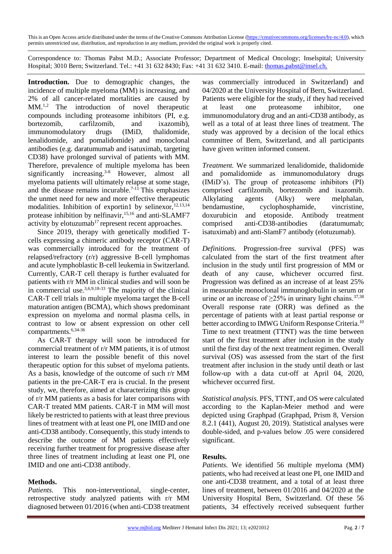This is an Open Access article distributed under the terms of the Creative Commons Attribution License [\(https://creativecommons.org/licenses/by-nc/4.0\)](https://creativecommons.org/licenses/by-nc/4.0), which permits unrestricted use, distribution, and reproduction in any medium, provided the original work is properly cited.

Correspondence to: Thomas Pabst M.D.; Associate Professor; Department of Medical Oncology; Inselspital; University Hospital; 3010 Bern; Switzerland. Tel.: +41 31 632 8430; Fax: +41 31 632 3410. E-mail: [thomas.pabst@insel.ch.](mailto:thomas.pabst@insel.ch)

**Introduction.** Due to demographic changes, the incidence of multiple myeloma (MM) is increasing, and 2% of all cancer-related mortalities are caused by MM.1,2 The introduction of novel therapeutic compounds including proteasome inhibitors (PI, e.g. bortezomib, carfilzomib, and ixazomib), immunomodulatory drugs (IMiD, thalidomide, lenalidomide, and pomalidomide) and monoclonal antibodies (e.g. daratumumab and isatuximab, targeting CD38) have prolonged survival of patients with MM. Therefore, prevalence of multiple myeloma has been significantly increasing.<sup>3-8</sup> However, almost all myeloma patients will ultimately relapse at some stage, and the disease remains incurable.<sup>7-11</sup> This emphasizes the unmet need for new and more effective therapeutic modalities. Inhibition of exportin1 by selinexor,  $12,13,14$ protease inhibition by nelfinavir,<sup>15,16</sup> and anti-SLAMF7 activity by elotuzumab<sup>17</sup> represent recent approaches.

Since 2019, therapy with genetically modified Tcells expressing a chimeric antibody receptor (CAR-T) was commercially introduced for the treatment of relapsed/refractory (r/r) aggressive B-cell lymphomas and acute lymphoblastic B-cell leukemia in Switzerland. Currently, CAR-T cell therapy is further evaluated for patients with r/r MM in clinical studies and will soon be in commercial use. $3,6,9,18-33$  The majority of the clinical CAR-T cell trials in multiple myeloma target the B-cell maturation antigen (BCMA), which shows predominant expression on myeloma and normal plasma cells, in contrast to low or absent expression on other cell compartments.6,34-36

As CAR-T therapy will soon be introduced for commercial treatment of r/r MM patients, it is of utmost interest to learn the possible benefit of this novel therapeutic option for this subset of myeloma patients. As a basis, knowledge of the outcome of such r/r MM patients in the pre-CAR-T era is crucial. In the present study, we, therefore, aimed at characterizing this group of r/r MM patients as a basis for later comparisons with CAR-T treated MM patients. CAR-T in MM will most likely be restricted to patients with at least three previous lines of treatment with at least one PI, one IMID and one anti-CD38 antibody. Consequently, this study intends to describe the outcome of MM patients effectively receiving further treatment for progressive disease after three lines of treatment including at least one PI, one IMID and one anti-CD38 antibody.

#### **Methods.**

*Patients.* This non-interventional, single-center, retrospective study analyzed patients with r/r MM diagnosed between 01/2016 (when anti-CD38 treatment

was commercially introduced in Switzerland) and 04/2020 at the University Hospital of Bern, Switzerland. Patients were eligible for the study, if they had received at least one proteasome inhibitor, one immunomodulatory drug and an anti-CD38 antibody, as well as a total of at least three lines of treatment. The study was approved by a decision of the local ethics committee of Bern, Switzerland, and all participants have given written informed consent.

*Treatment.* We summarized lenalidomide, thalidomide and pomalidomide as immunomodulatory drugs (IMiD's). The group of proteasome inhibitors (PI) comprised carfilzomib, bortezomib and ixazomib. Alkylating agents (Alky) were melphalan, bendamustine, cyclophosphamide, vincristine, doxurubicin and etoposide. Antibody treatment comprised anti-CD38-antibodies (daratumumab; isatuximab) and anti-SlamF7 antibody (elotuzumab).

*Definitions.* Progression-free survival (PFS) was calculated from the start of the first treatment after inclusion in the study until first progression of MM or death of any cause, whichever occurred first. Progression was defined as an increase of at least 25% in measurable monoclonal immunoglobulin in serum or urine or an increase of  $\geq$ 25% in urinary light chains.<sup>37,38</sup> Overall response rate (ORR) was defined as the percentage of patients with at least partial response or better according to IMWG Uniform Response Criteria.<sup>10</sup> Time to next treatment (TTNT) was the time between start of the first treatment after inclusion in the study until the first day of the next treatment regimen. Overall survival (OS) was assessed from the start of the first treatment after inclusion in the study until death or last follow-up with a data cut-off at April 04, 2020, whichever occurred first.

*Statistical analysis.* PFS, TTNT, and OS were calculated according to the Kaplan-Meier method and were depicted using Graphpad (Graphpad, Prism 8, Version 8.2.1 (441), August 20, 2019). Statistical analyses were double-sided, and p-values below .05 were considered significant.

#### **Results.**

*Patients.* We identified 56 multiple myeloma (MM) patients, who had received at least one PI, one IMID and one anti-CD38 treatment, and a total of at least three lines of treatment, between 01/2016 and 04/2020 at the University Hospital Bern, Switzerland. Of these 56 patients, 34 effectively received subsequent further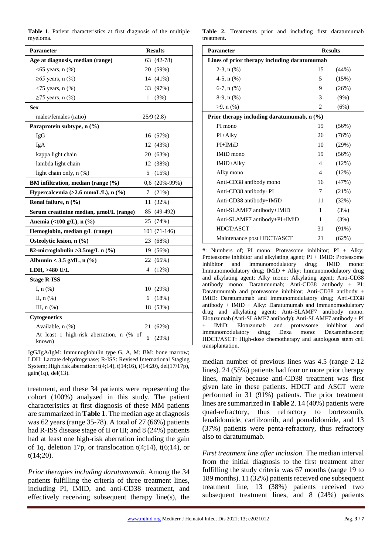|          | <b>Table 1.</b> Patient characteristics at first diagnosis of the multiple |  |  |  |
|----------|----------------------------------------------------------------------------|--|--|--|
| myeloma. |                                                                            |  |  |  |

| <b>Parameter</b>                                   | <b>Results</b> |                 |  |
|----------------------------------------------------|----------------|-----------------|--|
| Age at diagnosis, median (range)                   |                | 63 (42-78)      |  |
| $<65$ years, n $(\%)$                              |                | 20 (59%)        |  |
| $\geq 65$ years, n (%)                             |                | 14 (41%)        |  |
| $\langle 75 \rangle$ years, n $(\% )$              |                | 33 (97%)        |  |
| $\geq$ 75 years, n (%)                             | 1              | (3%)            |  |
| <b>Sex</b>                                         |                |                 |  |
| males/females (ratio)                              |                | 25/9(2.8)       |  |
| Paraprotein subtype, n (%)                         |                |                 |  |
| IgG                                                |                | 16 (57%)        |  |
| IgA                                                |                | 12 (43%)        |  |
| kappa light chain                                  |                | 20 (63%)        |  |
| lambda light chain                                 |                | 12 (38%)        |  |
| light chain only, n (%)                            | 5              | (15%)           |  |
| BM infiltration, median (range $(\%)$              |                | $0,6$ (20%-99%) |  |
| Hypercalcemia (>2.6 mmoL/L), n (%)                 | 7              | (21%)           |  |
| Renal failure, $n$ $(\%)$                          | 11             | (32%)           |  |
| Serum creatinine median, µmol/L (range)            |                | 85 (49-492)     |  |
| Anemia (<100 g/L), n (%)                           | 25             | (74%)           |  |
| Hemoglobin, median g/L (range)                     |                | 101 (71-146)    |  |
| Osteolytic lesion, n (%)                           | 23             | (68%)           |  |
| $\beta$ 2-microglobulin >3.5mg/L n $(\%)$          | 19             | $(56\%)$        |  |
| Albumin < 3.5 g/dL, n $(\% )$                      | 22             | (65%)           |  |
| LDH, >480 U/L                                      | 4              | $(12\%)$        |  |
| <b>Stage R-ISS</b>                                 |                |                 |  |
| I, $n$ $%$                                         | 10             | (29%)           |  |
| II, n (%)                                          | 6              | (18%)           |  |
| III, $n$ $(\%)$                                    | 18             | (53%)           |  |
| <b>Cytogenetics</b>                                |                |                 |  |
| Available, n (%)                                   | 21             | $(62\%)$        |  |
| At least 1 high-risk aberration, n (% of<br>known) | 6              | (29%)           |  |

IgG/IgA/IgM: Immunoglobulin type G, A, M; BM: bone marrow; LDH: Lactate dehydrogenase; R-ISS: Revised International Staging System; High risk aberration: t(4;14), t(14;16), t(14;20), del(17/17p),  $gain(1q)$ , del $(13)$ .

treatment, and these 34 patients were representing the cohort (100%) analyzed in this study. The patient characteristics at first diagnosis of these MM patients are summarized in **Table 1**. The median age at diagnosis was 62 years (range 35-78). A total of 27 (66%) patients had R-ISS disease stage of II or III; and 8 (24%) patients had at least one high-risk aberration including the gain of 1q, deletion 17p, or translocation  $t(4;14)$ ,  $t(6;14)$ , or t(14;20).

*Prior therapies including daratumumab.* Among the 34 patients fulfilling the criteria of three treatment lines, including PI, IMID, and anti-CD38 treatment, and effectively receiving subsequent therapy line(s), the

**Table 2.** Treatments prior and including first daratumumab treatment**.**

| <b>Parameter</b>                             | <b>Results</b> |          |  |  |
|----------------------------------------------|----------------|----------|--|--|
| Lines of prior therapy including daratumumab |                |          |  |  |
| $2-3$ , n $(\%)$                             | 15             | (44%)    |  |  |
| 4-5, $n$ (%)                                 | 5              | (15%)    |  |  |
| $6-7$ , $n$ $(\%)$                           | 9              | (26%)    |  |  |
| $8-9$ , n $(\%)$                             | 3              | $(9\%)$  |  |  |
| $>9$ , n $(\% )$                             | 2              | (6%)     |  |  |
| Prior therapy including daratumumab, n (%)   |                |          |  |  |
| PI mono                                      | 19             | (56%)    |  |  |
| $PI+Alky$                                    | 26             | (76%)    |  |  |
| $PI+IMiD$                                    | 10             | (29%)    |  |  |
| <b>IMiD</b> mono                             | 19             | (56%)    |  |  |
| IMiD+Alky                                    | $\overline{4}$ | (12%)    |  |  |
| Alky mono                                    | $\overline{4}$ | (12%)    |  |  |
| Anti-CD38 antibody mono                      | 16             | (47%)    |  |  |
| Anti-CD38 antibody+PI                        | 7              | (21%)    |  |  |
| Anti-CD38 antibody+IMiD                      | 11             | (32%)    |  |  |
| Anti-SLAMF7 antibody+IMiD                    | 1              | (3%)     |  |  |
| Anti-SLAMF7 antibody+PI+IMiD                 | $\mathbf{1}$   | (3%)     |  |  |
| HDCT/ASCT                                    | 31             | $(91\%)$ |  |  |
| Maintenance post HDCT/ASCT                   | 21             | $(62\%)$ |  |  |

#: Numbers of; PI mono: Proteasome inhibitor; PI + Alky: Proteasome inhibitor and alkylating agent; PI + IMiD: Proteasome inhibitor and immunomodulatory drug; IMiD mono: Immunomodulatory drug; IMiD + Alky: Immunomodulatory drug and alkylating agent; Alky mono: Alkylating agent; Anti-CD38 antibody mono: Daratumumab; Anti-CD38 antibody + PI: Daratumumab and proteasome inhibitor; Anti-CD38 antibody + IMiD: Daratumumab and immunomodulatory drug; Anti-CD38 antibody + IMiD + Alky: Daratumumab and immunomodulatory drug and alkylating agent; Anti-SLAMF7 antibody mono: Elotuzumab (Anti-SLAMF7 antibody); Anti-SLAMF7 antibody + PI IMiD: Elotuzumab and proteasome inhibitor and immunomodulatory drug; Dexa mono: Dexamethasone; HDCT/ASCT: High-dose chemotherapy and autologous stem cell transplantation.

median number of previous lines was 4.5 (range 2-12 lines). 24 (55%) patients had four or more prior therapy lines, mainly because anti-CD38 treatment was first given late in these patients. HDCT and ASCT were performed in 31 (91%) patients. The prior treatment lines are summarized in **Table 2**. 14 (40%) patients were quad-refractory, thus refractory to bortezomib, lenalidomide, carfilzomib, and pomalidomide, and 13 (37%) patients were penta-refractory, thus refractory also to daratumumab.

*First treatment line after inclusion.* The median interval from the initial diagnosis to the first treatment after fulfilling the study criteria was 67 months (range 19 to 189 months). 11 (32%) patients received one subsequent treatment line, 13 (38%) patients received two subsequent treatment lines, and 8 (24%) patients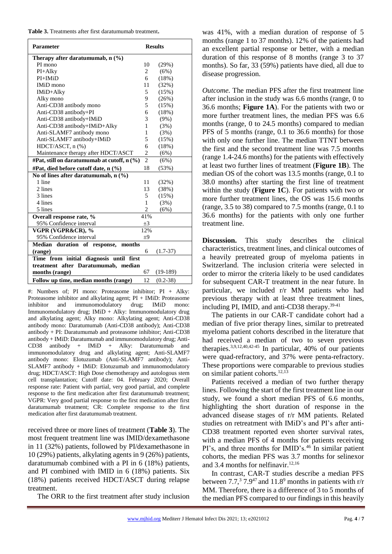| Table 3. Treatments after first daratumumab treatment. |
|--------------------------------------------------------|
|--------------------------------------------------------|

| Parameter                                   |                | <b>Results</b> |  |  |  |
|---------------------------------------------|----------------|----------------|--|--|--|
| Therapy after daratumumab, $n$ (%)          |                |                |  |  |  |
| PI mono                                     | 10             | (29%)          |  |  |  |
| PI+Alky                                     | $\overline{2}$ | (6%)           |  |  |  |
| $PI+IMiD$                                   | 6              | (18%)          |  |  |  |
| <b>IMiD</b> mono                            | 11             | (32%)          |  |  |  |
| IMiD+Alky                                   | 5              | (15%)          |  |  |  |
| Alky mono                                   | 9              | (26%)          |  |  |  |
| Anti-CD38 antibody mono                     | 5              | (15%)          |  |  |  |
| Anti-CD38 antibody+PI                       | 6              | (18%)          |  |  |  |
| Anti-CD38 antibody+IMiD                     | 3              | (9%)           |  |  |  |
| Anti-CD38 antibody+IMiD+Alky                | $\mathbf{1}$   | (3%)           |  |  |  |
| Anti-SLAMF7 antibody mono                   | 1              | (3%)           |  |  |  |
| Anti-SLAMF7 antibody+IMiD                   | 5              | (15%)          |  |  |  |
| HDCT/ASCT, n (%)                            | 6              | (18%)          |  |  |  |
| Maintenance therapy after HDCT/ASCT         | $\overline{2}$ | (6%)           |  |  |  |
| #Pat, still on daratumumab at cutoff, n (%) | $\mathfrak{D}$ | (6%)           |  |  |  |
| #Pat, died before cutoff date, n (%)        | 18             | (53%)          |  |  |  |
| No of lines after daratumumab, $n$ (%)      |                |                |  |  |  |
| 1 line                                      | 11             | (32%)          |  |  |  |
| 2 lines                                     | 13             | (38%)          |  |  |  |
| 3 lines                                     | 5              | (15%)          |  |  |  |
| 4 lines                                     | $\mathbf{1}$   | (3%)           |  |  |  |
| 5 lines                                     | $\overline{2}$ | (6%)           |  |  |  |
| Overall response rate, %                    | 41%            |                |  |  |  |
| 95% Confidence interval                     | $\pm 3$        |                |  |  |  |
| VGPR (VGPR&CR), %                           | 12%            |                |  |  |  |
| 95% Confidence interval                     | ±9             |                |  |  |  |
| Median duration of response,<br>months      |                |                |  |  |  |
| (range)                                     | 6              | $(1.7 - 37)$   |  |  |  |
| Time from initial diagnosis until<br>first  |                |                |  |  |  |
| treatment after Daratumumab, median         |                |                |  |  |  |
| months (range)                              | 67             | $(19-189)$     |  |  |  |
| Follow up time, median months (range)       | 12             | $(0.2 - 38)$   |  |  |  |

#: Numbers of; PI mono: Proteasome inhibitor; PI + Alky: Proteasome inhibitor and alkylating agent; PI + IMiD: Proteasome inhibitor and immunomodulatory drug; IMiD mono: Immunomodulatory drug; IMiD + Alky: Immunomodulatory drug and alkylating agent; Alky mono: Alkylating agent; Anti-CD38 antibody mono: Daratumumab (Anti-CD38 antibody); Anti-CD38 antibody + PI: Daratumumab and proteasome inhibitor; Anti-CD38 antibody + IMiD: Daratumumab and immunomodulatory drug; Anti-CD38 antibody + IMiD + Alky: Daratumumab and immunomodulatory drug and alkylating agent; Anti-SLAMF7 antibody mono: Elotuzumab (Anti-SLAMF7 antibody); Anti-SLAMF7 antibody + IMiD: Elotuzumab and immunomodulatory drug; HDCT/ASCT: High Dose chemotherapy and autologous stem cell transplantation; Cutoff date: 04. February 2020; Overall response rate: Patient with partial, very good partial, and complete response to the first medication after first daratumumab treatment; VGPR: Very good partial response to the first medication after first daratumumab treatment; CR: Complete response to the first medication after first daratumumab treatment.

received three or more lines of treatment (**Table 3**). The most frequent treatment line was IMID/dexamethasone in 11 (32%) patients, followed by PI/dexamethasone in 10 (29%) patients, alkylating agents in 9 (26%) patients, daratumumab combined with a PI in 6 (18%) patients, and PI combined with IMID in 6 (18%) patients. Six (18%) patients received HDCT/ASCT during relapse treatment.

The ORR to the first treatment after study inclusion

was 41%, with a median duration of response of 5 months (range 1 to 37 months). 12% of the patients had an excellent partial response or better, with a median duration of this response of 8 months (range 3 to 37 months). So far, 33 (59%) patients have died, all due to disease progression.

*Outcome.* The median PFS after the first treatment line after inclusion in the study was 6.6 months (range, 0 to 36.6 months; **Figure 1A**). For the patients with two or more further treatment lines, the median PFS was 6.6 months (range, 0 to 24.5 months) compared to median PFS of 5 months (range, 0.1 to 36.6 months) for those with only one further line. The median TTNT between the first and the second treatment line was 7.5 months (range 1.4-24.6 months) for the patients with effectively at least two further lines of treatment (**Figure 1B**). The median OS of the cohort was 13.5 months (range, 0.1 to 38.0 months) after starting the first line of treatment within the study (**Figure 1C**). For patients with two or more further treatment lines, the OS was 15.6 months (range, 3.5 to 38) compared to 7.5 months (range, 0.1 to 36.6 months) for the patients with only one further treatment line.

**Discussion.** This study describes the clinical characteristics, treatment lines, and clinical outcomes of a heavily pretreated group of myeloma patients in Switzerland. The inclusion criteria were selected in order to mirror the criteria likely to be used candidates for subsequent CAR-T treatment in the near future. In particular, we included r/r MM patients who had previous therapy with at least three treatment lines, including PI, IMID, and anti-CD38 therapy.<sup>39-41</sup>

The patients in our CAR-T candidate cohort had a median of five prior therapy lines, similar to pretreated myeloma patient cohorts described in the literature that had received a median of two to seven previous therapies.3,9,12,40,42-45 In particular, 40% of our patients were quad-refractory, and 37% were penta-refractory. These proportions were comparable to previous studies on similar patient cohorts.<sup>12,13</sup>

Patients received a median of two further therapy lines. Following the start of the first treatment line in our study, we found a short median PFS of 6.6 months, highlighting the short duration of response in the advanced disease stages of r/r MM patients. Related studies on retreatment with IMiD's and PI's after anti-CD38 treatment reported even shorter survival rates, with a median PFS of 4 months for patients receiving PI's, and three months for IMID's.<sup>46</sup> In similar patient cohorts, the median PFS was 3.7 months for selinexor and 3.4 months for nelfinavir. $12,16$ 

In contrast, CAR-T studies describe a median PFS between  $7.7<sup>3</sup>$   $7.9<sup>47</sup>$  and  $11.8<sup>9</sup>$  months in patients with r/r MM. Therefore, there is a difference of 3 to 5 months of the median PFS compared to our findings in this heavily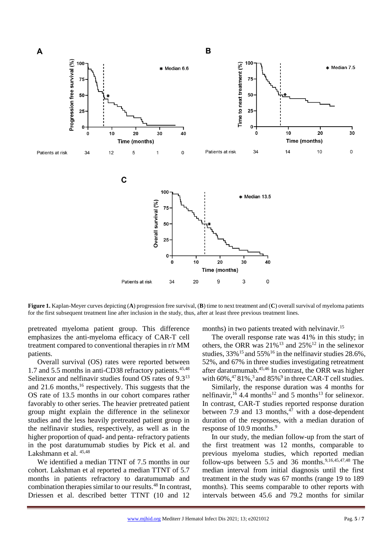

**Figure 1.** Kaplan-Meyer curves depicting (**A**) progression free survival, (**B**) time to next treatment and (**C**) overall survival of myeloma patients for the first subsequent treatment line after inclusion in the study, thus, after at least three previous treatment lines.

pretreated myeloma patient group. This difference emphasizes the anti-myeloma efficacy of CAR-T cell treatment compared to conventional therapies in r/r MM patients.

Overall survival (OS) rates were reported between 1.7 and 5.5 months in anti-CD38 refractory patients.<sup>45,48</sup> Selinexor and nelfinavir studies found OS rates of 9.3<sup>13</sup> and 21.6 months, <sup>16</sup> respectively. This suggests that the OS rate of 13.5 months in our cohort compares rather favorably to other series. The heavier pretreated patient group might explain the difference in the selinexor studies and the less heavily pretreated patient group in the nelfinavir studies, respectively, as well as in the higher proportion of quad- and penta- refractory patients in the post daratumumab studies by Pick et al. and Lakshmann et al. 45,48

We identified a median TTNT of 7.5 months in our cohort. Lakshman et al reported a median TTNT of 5.7 months in patients refractory to daratumumab and combination therapies similar to our results.<sup>48</sup> In contrast, Driessen et al. described better TTNT (10 and 12

months) in two patients treated with nelvinavir.<sup>15</sup>

The overall response rate was 41% in this study; in others, the ORR was  $21\%$ <sup>13</sup> and  $25\%$ <sup>12</sup> in the selinexor studies,  $33\%$ <sup>15</sup> and  $55\%$ <sup>16</sup> in the nelfinavir studies 28.6%, 52%, and 67% in three studies investigating retreatment after daratumumab.45,46 In contrast, the ORR was higher with  $60\%$ ,  $4781\%$ ,  $3$  and  $85\%$ <sup>9</sup> in three CAR-T cell studies.

Similarly, the response duration was 4 months for nelfinavir,  $^{16}$  4.4 months<sup>12</sup> and 5 months<sup>13</sup> for selinexor. In contrast, CAR-T studies reported response duration between 7.9 and 13 months, $4\overline{7}$  with a dose-dependent duration of the responses, with a median duration of response of 10.9 months.<sup>9</sup>

In our study, the median follow-up from the start of the first treatment was 12 months, comparable to previous myeloma studies, which reported median follow-ups between 5.5 and 36 months.<sup>9,16,45,47,48</sup> The median interval from initial diagnosis until the first treatment in the study was 67 months (range 19 to 189 months). This seems comparable to other reports with intervals between 45.6 and 79.2 months for similar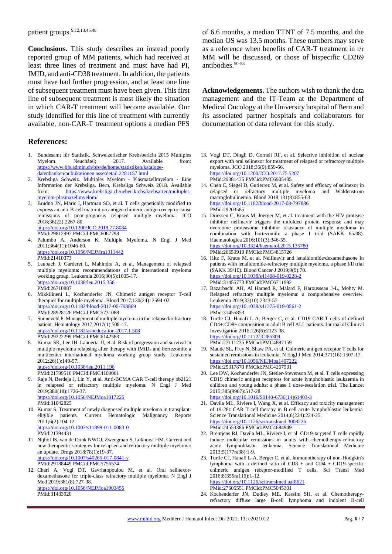**Conclusions.** This study describes an instead poorly reported group of MM patients, which had received at least three lines of treatment and must have had PI, IMID, and anti-CD38 treatment. In addition, the patients must have had further progression, and at least one line of subsequent treatment must have been given. This first line of subsequent treatment is most likely the situation in which CAR-T treatment will become available. Our study identified for this line of treatment with currently available, non-CAR-T treatment options a median PFS

### **References:**

- 1. Bundesamt für Statistik. Schweizerischer Krebsbericht 2015 Multiples<br>Myelom. Neuchâtel: 2017. Available from: Myelom. Neuchâtel; 2017. Available from: [https://www.bfs.admin.ch/bfs/de/home/statistiken/kataloge](https://www.bfs.admin.ch/bfs/de/home/statistiken/kataloge-datenbanken/publikationen.assetdetail.2281157.html)[datenbanken/publikationen.assetdetail.2281157.html](https://www.bfs.admin.ch/bfs/de/home/statistiken/kataloge-datenbanken/publikationen.assetdetail.2281157.html)
- 2. Krebsliga Schweiz. Multiples Myelom Plasmazellmyelom Eine Information der Krebsliga. Bern, Krebsliga Schweiz 2018. Available from: [https://www.krebsliga.ch/ueber-krebs/krebsarten/multiples](https://www.krebsliga.ch/ueber-krebs/krebsarten/multiples-myelom-plasmazellmyelom/)[myelom-plasmazellmyelom/](https://www.krebsliga.ch/ueber-krebs/krebsarten/multiples-myelom-plasmazellmyelom/)
- 3. Brudno JN, Maric I, Hartman SD, et al. T cells genetically modified to express an anti-B-cell maturation antigen chimeric antigen receptor cause remissions of poor-prognosis relapsed multiple myeloma. JCO 2018;36(22):2267-80. <https://doi.org/10.1200/JCO.2018.77.8084>

PMid:29812997 PMCid:PMC6067798

- 4. Palumbo A, Anderson K. Multiple Myeloma. N Engl J Med 2011;364(11):1046-60. <https://doi.org/10.1056/NEJMra1011442> PMid:21410373
- 5. Laubach J, Garderet L, Mahindra A, et al. Management of relapsed multiple myeloma: recommendations of the international myeloma working group. Leukemia 2016;30(5):1005-17. <https://doi.org/10.1038/leu.2015.356> PMid:26710887
- 6. Mikkilineni L, Kochenderfer JN. Chimeric antigen receptor T-cell therapies for multiple myeloma. Blood 2017;130(24): 2594-02. <https://doi.org/10.1182/blood-2017-06-793869> PMid:28928126 PMCid:PMC5731088
- 7. Sonneveld P. Management of multiple myeloma in the relapsed/refractory patient. Hematology 2017;2017(1):508-17. <https://doi.org/10.1182/asheducation-2017.1.508> PMid:29222299 PMCid:PMC6142583
- 8. Kumar SK, Lee JH, Lahuerta JJ, et al. Risk of progression and survival in multiple myeloma relapsing after therapy with IMiDs and bortezomib: a multicenter international myeloma working group study. Leukemia 2012;26(1):149-57.

<https://doi.org/10.1038/leu.2011.196> PMid:21799510 PMCid:PMC4109061

- 9. Raje N, Berdeja J, Lin Y, et al. Anti-BCMA CAR T-cell therapy bb2121 in relapsed or refractory multiple myeloma. N Engl J Med 2019;380(18):1726-37. <https://doi.org/10.1056/NEJMoa1817226> PMid:31042825
- 10. Kumar S. Treatment of newly diagnosed multiple myeloma in transplanteligible patients. Current Hematologic Malignancy Reports  $2011:6(2):104-12.$ <https://doi.org/10.1007/s11899-011-0083-0> PMid:21394431
- 11. Nijhof IS, van de Donk NWCJ, Zweegman S, Lokhorst HM. Current and new therapeutic strategies for relapsed and refractory multiple myeloma: an update. Drugs 2018;78(1):19-37. <https://doi.org/10.1007/s40265-017-0841-y> PMid:29188449 PMCid:PMC5756574
- 12. Chari A, Vogl DT, Gavriatopoulou M, et al. Oral selinexordexamethasone for triple-class refractory multiple myeloma. N Engl J Med 2019;381(8):727-38. <https://doi.org/10.1056/NEJMoa1903455> PMid:31433920

of 6.6 months, a median TTNT of 7.5 months, and the median OS was 13.5 months. These numbers may serve as a reference when benefits of CAR-T treatment in r/r MM will be discussed, or those of bispecific CD269 antibodies.<sup>50-53</sup>

**Acknowledgements.** The authors wish to thank the data management and the IT-Team at the Department of Medical Oncology at the University hospital of Bern and its associated partner hospitals and collaborators for documentation of data relevant for this study.

- 13. Vogl DT, Dingli D, Cornell RF, et al. Selective inhibition of nuclear export with oral selinexor for treatment of relapsed or refractory multiple myeloma. JCO 2018;36(9):859-66. <https://doi.org/10.1200/JCO.2017.75.5207> PMid:29381435 PMCid:PMC6905485
- 14. Chen C, Siegel D, Gutierrez M, et al. Safety and efficacy of selinexor in relapsed or refractory multiple myeloma and Waldenstrom macroglobulinemia. Blood 2018;131(8):855-63. <https://doi.org/10.1182/blood-2017-08-797886> PMid:29203585
- 15. Driessen C, Kraus M, Joerger M, et al. treatment with the HIV protease inhibitor nelfinavir triggers the unfolded protein response and may overcome proteasome inhibitor resistance of multiple myeloma in combination with bortezomib: a phase I trial (SAKK 65/08). Haematologica 2016;101(3):346-55. <https://doi.org/10.3324/haematol.2015.135780> PMid:26659919 PMCid:PMC4815726
- 16. Hitz F, Kraus M, et al. Nelfinavir and lenalidomide/dexamethasone in patients with lenalidomide-refractory multiple myeloma. a phase I/II trial (SAKK 39/10). Blood Cancer J 2019;9(9):70. <https://doi.org/10.1038/s41408-019-0228-2> PMid:31455773 PMCid:PMC6711992
- 17. Bazarbachi AH, Al Hamed R, Malard F, Harousseau J-L, Mohty M. Relapsed refractory multiple myeloma: a comprehensive overview. Leukemia 2019;33(10):2343-57. <https://doi.org/10.1038/s41375-019-0561-2> PMid:31455853
- 18. Turtle CJ, Hanafi L-A, Berger C, et al. CD19 CAR-T cells of defined CD4+:CD8+ composition in adult B cell ALL patients. Journal of Clinical Investigation 2016;126(6):2123-38. <https://doi.org/10.1172/JCI85309> PMid:27111235 PMCid:PMC4887159
- 19. Maude SL, Frey N, Shaw PA, et al. Chimeric antigen receptor T cells for sustained remissions in leukemia. N Engl J Med 2014;371(16):1507-17. <https://doi.org/10.1056/NEJMoa1407222> PMid:25317870 PMCid:PMC4267531
- 20. Lee DW, Kochenderfer JN, Stetler-Stevenson M, et al. T cells expressing CD19 chimeric antigen receptors for acute lymphoblastic leukaemia in children and young adults: a phase 1 dose-escalation trial. The Lancet 2015;385(9967):517-28. [https://doi.org/10.1016/S0140-6736\(14\)61403-3](https://doi.org/10.1016/S0140-6736(14)61403-3)
- 21. Davila ML, Riviere I, Wang X, et al. Efficacy and toxicity management of 19-28z CAR T cell therapy in B cell acute lymphoblastic leukemia. Science Translational Medicine 2014;6(224):224-25. <https://doi.org/10.1126/scitranslmed.3008226> PMid:24553386 PMCid:PMC4684949
- 22. Brentjens RJ, Davila ML, Riviere I, et al. CD19-targeted T cells rapidly induce molecular remissions in adults with chemotherapy-refractory acute lymphoblastic leukemia. Science Translational Medicine 2013;5(177ra38):1-9.
- 23. Turtle CJ, Hanafi L-A, Berger C, et al. Immunotherapy of non-Hodgkin's lymphoma with a defined ratio of  $CD8 +$  and  $CD4 + CD19$ -specific chimeric antigen receptor-modified T cells. Sci Transl Med 2016;8(355ra116):1-12. <https://doi.org/10.1126/scitranslmed.aaf8621> PMid:27605551 PMCid:PMC5045301
- 24. Kochenderfer JN, Dudley ME, Kassim SH, et al. Chemotherapyrefractory diffuse large B-cell lymphoma and indolent B-cell